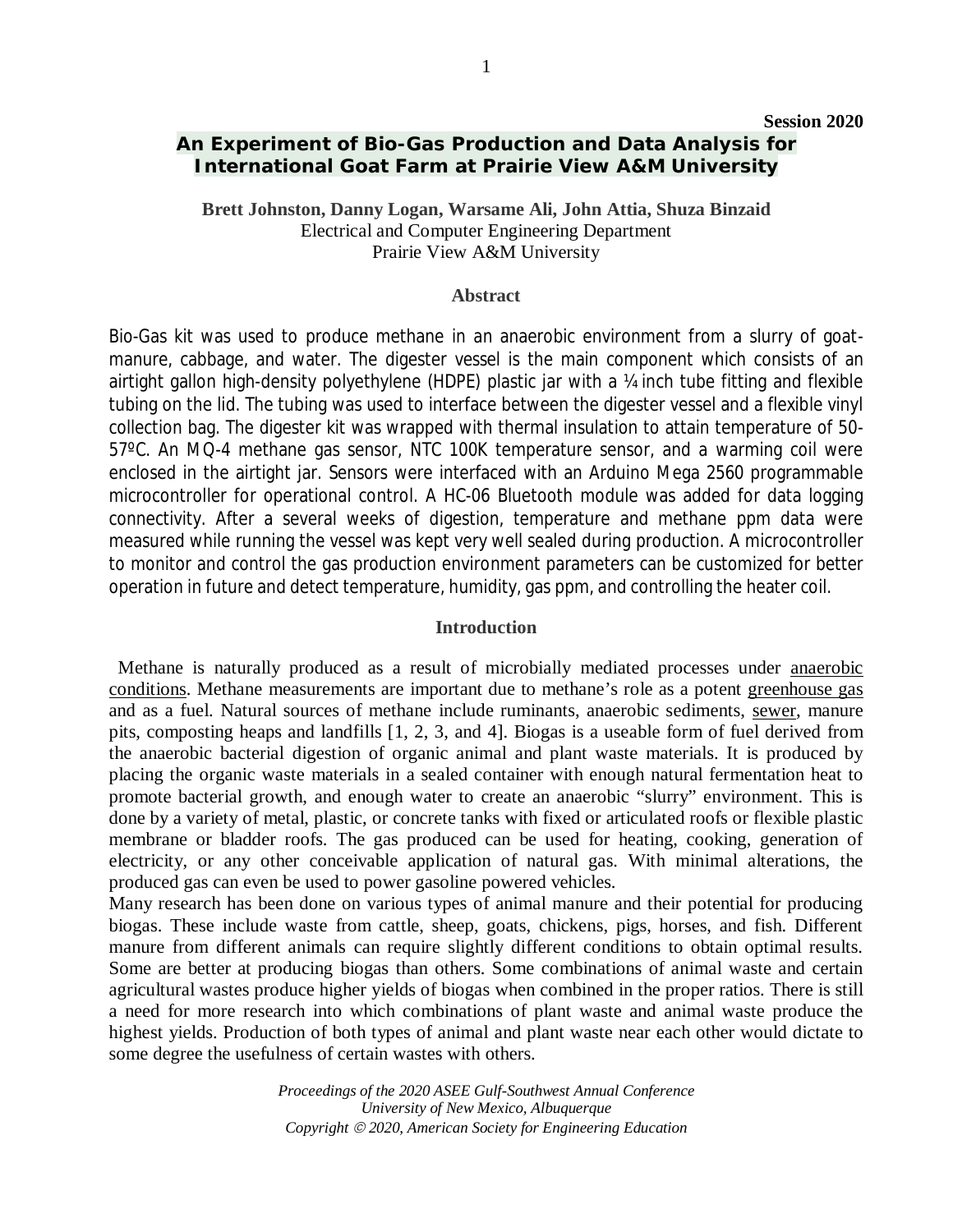# **An Experiment of Bio-Gas Production and Data Analysis for International Goat Farm at Prairie View A&M University**

**Brett Johnston, Danny Logan, Warsame Ali, John Attia, Shuza Binzaid** Electrical and Computer Engineering Department Prairie View A&M University

#### **Abstract**

Bio-Gas kit was used to produce methane in an anaerobic environment from a slurry of goatmanure, cabbage, and water. The digester vessel is the main component which consists of an airtight gallon high-density polyethylene (HDPE) plastic jar with a ¼ inch tube fitting and flexible tubing on the lid. The tubing was used to interface between the digester vessel and a flexible vinyl collection bag. The digester kit was wrapped with thermal insulation to attain temperature of 50- 57ºC. An MQ-4 methane gas sensor, NTC 100K temperature sensor, and a warming coil were enclosed in the airtight jar. Sensors were interfaced with an Arduino Mega 2560 programmable microcontroller for operational control. A HC-06 Bluetooth module was added for data logging connectivity. After a several weeks of digestion, temperature and methane ppm data were measured while running the vessel was kept very well sealed during production. A microcontroller to monitor and control the gas production environment parameters can be customized for better operation in future and detect temperature, humidity, gas ppm, and controlling the heater coil.

### **Introduction**

 Methane is naturally produced as a result of microbially mediated processes under anaerobic conditions. Methane measurements are important due to methane's role as a potent greenhouse gas and as a fuel. Natural sources of methane include ruminants, anaerobic sediments, sewer, manure pits, composting heaps and landfills [1, 2, 3, and 4]. Biogas is a useable form of fuel derived from the anaerobic bacterial digestion of organic animal and plant waste materials. It is produced by placing the organic waste materials in a sealed container with enough natural fermentation heat to promote bacterial growth, and enough water to create an anaerobic "slurry" environment. This is done by a variety of metal, plastic, or concrete tanks with fixed or articulated roofs or flexible plastic membrane or bladder roofs. The gas produced can be used for heating, cooking, generation of electricity, or any other conceivable application of natural gas. With minimal alterations, the produced gas can even be used to power gasoline powered vehicles.

Many research has been done on various types of animal manure and their potential for producing biogas. These include waste from cattle, sheep, goats, chickens, pigs, horses, and fish. Different manure from different animals can require slightly different conditions to obtain optimal results. Some are better at producing biogas than others. Some combinations of animal waste and certain agricultural wastes produce higher yields of biogas when combined in the proper ratios. There is still a need for more research into which combinations of plant waste and animal waste produce the highest yields. Production of both types of animal and plant waste near each other would dictate to some degree the usefulness of certain wastes with others.

> *Proceedings of the 2020 ASEE Gulf-Southwest Annual Conference University of New Mexico, Albuquerque Copyright 2020, American Society for Engineering Education*